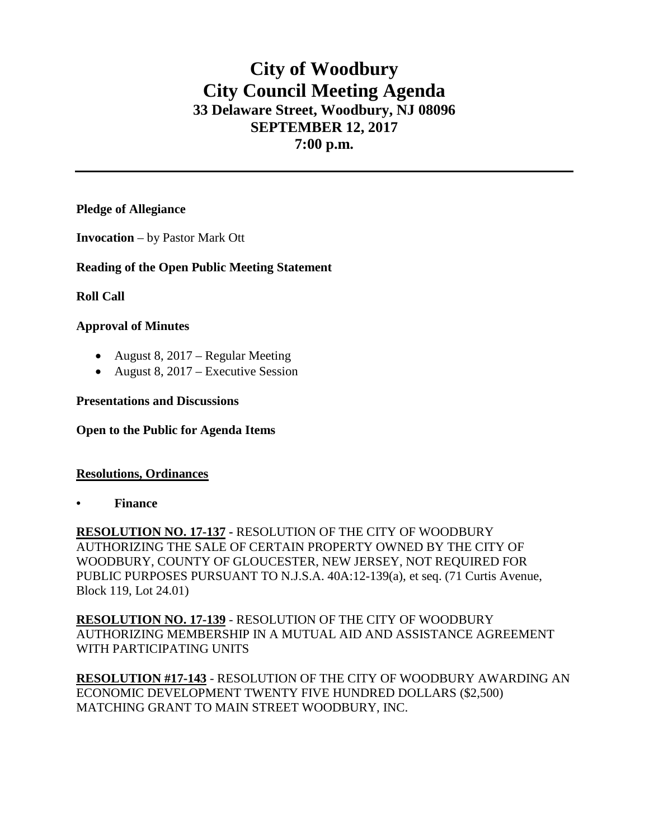# **City of Woodbury City Council Meeting Agenda 33 Delaware Street, Woodbury, NJ 08096 SEPTEMBER 12, 2017 7:00 p.m.**

## **Pledge of Allegiance**

**Invocation** – by Pastor Mark Ott

## **Reading of the Open Public Meeting Statement**

**Roll Call**

## **Approval of Minutes**

- August 8, 2017 Regular Meeting
- August 8,  $2017$  Executive Session

#### **Presentations and Discussions**

#### **Open to the Public for Agenda Items**

#### **Resolutions, Ordinances**

**• Finance** 

**RESOLUTION NO. 17-137 -** RESOLUTION OF THE CITY OF WOODBURY AUTHORIZING THE SALE OF CERTAIN PROPERTY OWNED BY THE CITY OF WOODBURY, COUNTY OF GLOUCESTER, NEW JERSEY, NOT REQUIRED FOR PUBLIC PURPOSES PURSUANT TO N.J.S.A. 40A:12-139(a), et seq. (71 Curtis Avenue, Block 119, Lot 24.01)

**RESOLUTION NO. 17-139** - RESOLUTION OF THE CITY OF WOODBURY AUTHORIZING MEMBERSHIP IN A MUTUAL AID AND ASSISTANCE AGREEMENT WITH PARTICIPATING UNITS

**RESOLUTION #17-143** - RESOLUTION OF THE CITY OF WOODBURY AWARDING AN ECONOMIC DEVELOPMENT TWENTY FIVE HUNDRED DOLLARS (\$2,500) MATCHING GRANT TO MAIN STREET WOODBURY, INC.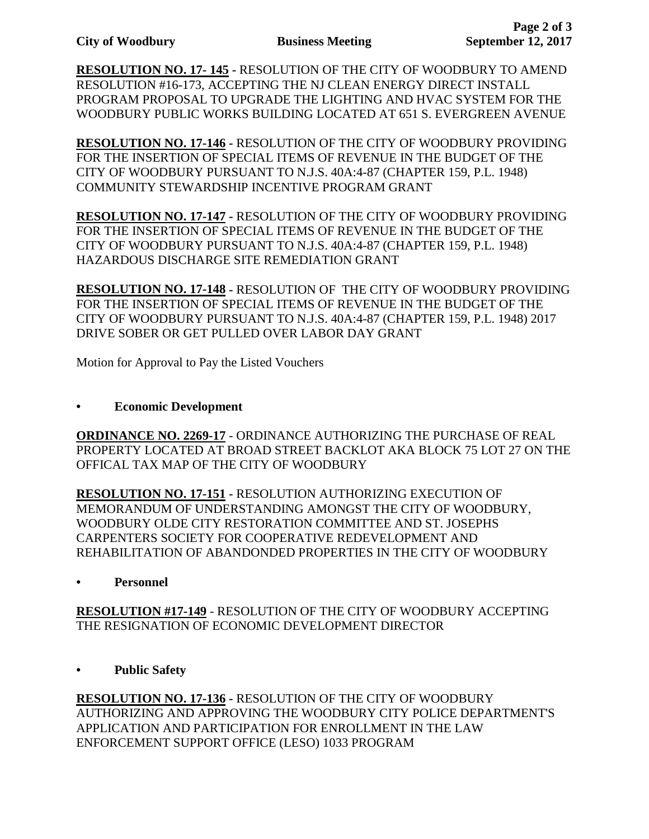**RESOLUTION NO. 17- 145 -** RESOLUTION OF THE CITY OF WOODBURY TO AMEND RESOLUTION #16-173, ACCEPTING THE NJ CLEAN ENERGY DIRECT INSTALL PROGRAM PROPOSAL TO UPGRADE THE LIGHTING AND HVAC SYSTEM FOR THE WOODBURY PUBLIC WORKS BUILDING LOCATED AT 651 S. EVERGREEN AVENUE

**RESOLUTION NO. 17-146 -** RESOLUTION OF THE CITY OF WOODBURY PROVIDING FOR THE INSERTION OF SPECIAL ITEMS OF REVENUE IN THE BUDGET OF THE CITY OF WOODBURY PURSUANT TO N.J.S. 40A:4-87 (CHAPTER 159, P.L. 1948) COMMUNITY STEWARDSHIP INCENTIVE PROGRAM GRANT

**RESOLUTION NO. 17-147 -** RESOLUTION OF THE CITY OF WOODBURY PROVIDING FOR THE INSERTION OF SPECIAL ITEMS OF REVENUE IN THE BUDGET OF THE CITY OF WOODBURY PURSUANT TO N.J.S. 40A:4-87 (CHAPTER 159, P.L. 1948) HAZARDOUS DISCHARGE SITE REMEDIATION GRANT

**RESOLUTION NO. 17-148 -** RESOLUTION OF THE CITY OF WOODBURY PROVIDING FOR THE INSERTION OF SPECIAL ITEMS OF REVENUE IN THE BUDGET OF THE CITY OF WOODBURY PURSUANT TO N.J.S. 40A:4-87 (CHAPTER 159, P.L. 1948) 2017 DRIVE SOBER OR GET PULLED OVER LABOR DAY GRANT

Motion for Approval to Pay the Listed Vouchers

## **• Economic Development**

**ORDINANCE NO. 2269-17** - ORDINANCE AUTHORIZING THE PURCHASE OF REAL PROPERTY LOCATED AT BROAD STREET BACKLOT AKA BLOCK 75 LOT 27 ON THE OFFICAL TAX MAP OF THE CITY OF WOODBURY

**RESOLUTION NO. 17-151 -** RESOLUTION AUTHORIZING EXECUTION OF MEMORANDUM OF UNDERSTANDING AMONGST THE CITY OF WOODBURY, WOODBURY OLDE CITY RESTORATION COMMITTEE AND ST. JOSEPHS CARPENTERS SOCIETY FOR COOPERATIVE REDEVELOPMENT AND REHABILITATION OF ABANDONDED PROPERTIES IN THE CITY OF WOODBURY

# **• Personnel**

**RESOLUTION #17-149** - RESOLUTION OF THE CITY OF WOODBURY ACCEPTING THE RESIGNATION OF ECONOMIC DEVELOPMENT DIRECTOR

**• Public Safety**

**RESOLUTION NO. 17-136 -** RESOLUTION OF THE CITY OF WOODBURY AUTHORIZING AND APPROVING THE WOODBURY CITY POLICE DEPARTMENT'S APPLICATION AND PARTICIPATION FOR ENROLLMENT IN THE LAW ENFORCEMENT SUPPORT OFFICE (LESO) 1033 PROGRAM